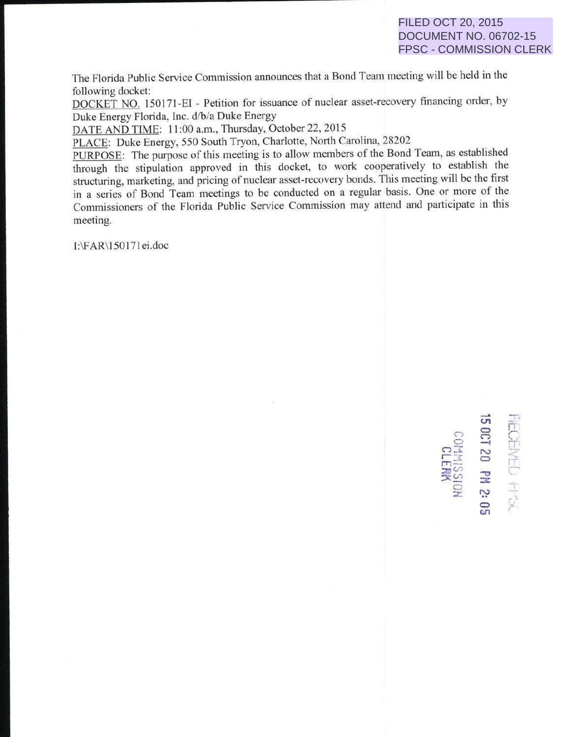03<br>1**30 S**<br>50 R

<sup>~</sup>r-:c C) *<sup>m</sup>* r-r *-*  $\widetilde{\mathbb{F}}$  is  $\widetilde{\mathbb{F}}$  . Then  $\widetilde{\mathbb{F}}$ 

 $\Xi$ 

 $O-I$   $N$ 

 $\subset$  $z \rightarrow$ 

The Florida Public Service Commission announces that a Bond Team meeting will be held in the following docket:

DOCKET NO. 150171-EI - Petition for issuance of nuclear asset-recovery financing order, by Duke Energy Florida, Inc. d/b/a Duke Energy

DATE AND TIME: 11:00 a.m., Thursday, October 22, 2015

PLACE: Duke Energy, 550 South Tryon, Charlotte, North Carolina, 28202

PURPOSE: The purpose of this meeting is to allow members of the Bond Team, as established through the stipulation approved in this docket, to work cooperatively to establish the structuring, marketing, and pricing of nuclear asset-recovery bonds. This meeting will be the first in a series of Bond Team meetings to be conducted on a regular basis. One or more of the Commissioners of the Florida Public Service Commission may attend and participate in this meeting.

I:\FAR\1501 71 ei.doc